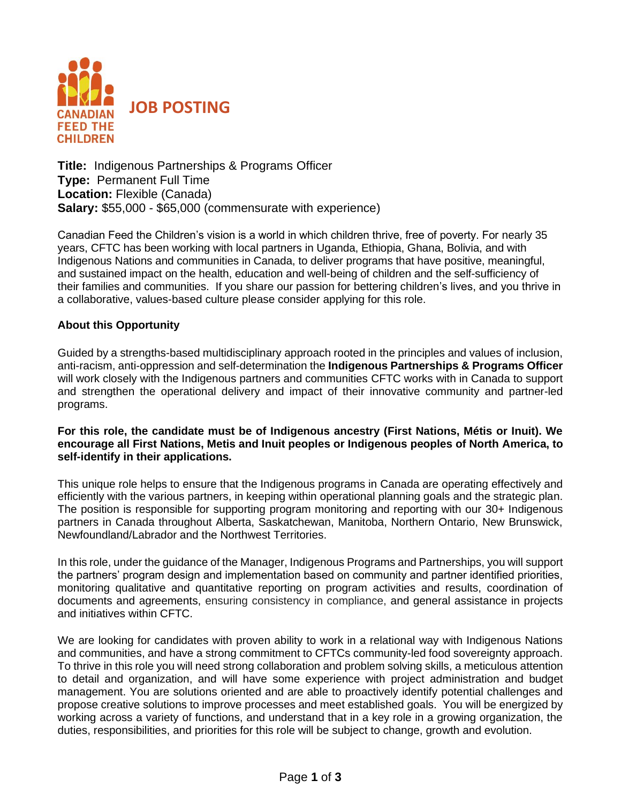

**Title:** Indigenous Partnerships & Programs Officer **Type:** Permanent Full Time **Location:** Flexible (Canada) **Salary:** \$55,000 - \$65,000 (commensurate with experience)

Canadian Feed the Children's vision is a world in which children thrive, free of poverty. For nearly 35 years, CFTC has been working with local partners in Uganda, Ethiopia, Ghana, Bolivia, and with Indigenous Nations and communities in Canada, to deliver programs that have positive, meaningful, and sustained impact on the health, education and well-being of children and the self-sufficiency of their families and communities. If you share our passion for bettering children's lives, and you thrive in a collaborative, values-based culture please consider applying for this role.

#### **About this Opportunity**

Guided by a strengths-based multidisciplinary approach rooted in the principles and values of inclusion, anti-racism, anti-oppression and self-determination the **Indigenous Partnerships & Programs Officer** will work closely with the Indigenous partners and communities CFTC works with in Canada to support and strengthen the operational delivery and impact of their innovative community and partner-led programs.

#### **For this role, the candidate must be of Indigenous ancestry (First Nations, Métis or Inuit). We encourage all First Nations, Metis and Inuit peoples or Indigenous peoples of North America, to self-identify in their applications.**

This unique role helps to ensure that the Indigenous programs in Canada are operating effectively and efficiently with the various partners, in keeping within operational planning goals and the strategic plan. The position is responsible for supporting program monitoring and reporting with our 30+ Indigenous partners in Canada throughout Alberta, Saskatchewan, Manitoba, Northern Ontario, New Brunswick, Newfoundland/Labrador and the Northwest Territories.

In this role, under the guidance of the Manager, Indigenous Programs and Partnerships, you will support the partners' program design and implementation based on community and partner identified priorities, monitoring qualitative and quantitative reporting on program activities and results, coordination of documents and agreements, ensuring consistency in compliance, and general assistance in projects and initiatives within CFTC.

We are looking for candidates with proven ability to work in a relational way with Indigenous Nations and communities, and have a strong commitment to CFTCs community-led food sovereignty approach. To thrive in this role you will need strong collaboration and problem solving skills, a meticulous attention to detail and organization, and will have some experience with project administration and budget management. You are solutions oriented and are able to proactively identify potential challenges and propose creative solutions to improve processes and meet established goals. You will be energized by working across a variety of functions, and understand that in a key role in a growing organization, the duties, responsibilities, and priorities for this role will be subject to change, growth and evolution.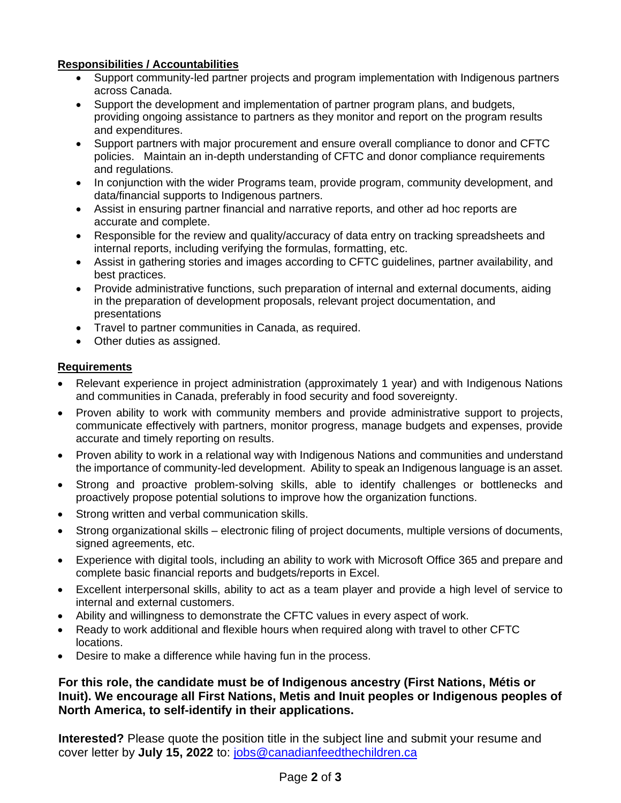# **Responsibilities / Accountabilities**

- Support community-led partner projects and program implementation with Indigenous partners across Canada.
- Support the development and implementation of partner program plans, and budgets, providing ongoing assistance to partners as they monitor and report on the program results and expenditures.
- Support partners with major procurement and ensure overall compliance to donor and CFTC policies. Maintain an in-depth understanding of CFTC and donor compliance requirements and regulations.
- In conjunction with the wider Programs team, provide program, community development, and data/financial supports to Indigenous partners.
- Assist in ensuring partner financial and narrative reports, and other ad hoc reports are accurate and complete.
- Responsible for the review and quality/accuracy of data entry on tracking spreadsheets and internal reports, including verifying the formulas, formatting, etc.
- Assist in gathering stories and images according to CFTC guidelines, partner availability, and best practices.
- Provide administrative functions, such preparation of internal and external documents, aiding in the preparation of development proposals, relevant project documentation, and presentations
- Travel to partner communities in Canada, as required.
- Other duties as assigned.

# **Requirements**

- Relevant experience in project administration (approximately 1 year) and with Indigenous Nations and communities in Canada, preferably in food security and food sovereignty.
- Proven ability to work with community members and provide administrative support to projects, communicate effectively with partners, monitor progress, manage budgets and expenses, provide accurate and timely reporting on results.
- Proven ability to work in a relational way with Indigenous Nations and communities and understand the importance of community-led development. Ability to speak an Indigenous language is an asset.
- Strong and proactive problem-solving skills, able to identify challenges or bottlenecks and proactively propose potential solutions to improve how the organization functions.
- Strong written and verbal communication skills.
- Strong organizational skills electronic filing of project documents, multiple versions of documents, signed agreements, etc.
- Experience with digital tools, including an ability to work with Microsoft Office 365 and prepare and complete basic financial reports and budgets/reports in Excel.
- Excellent interpersonal skills, ability to act as a team player and provide a high level of service to internal and external customers.
- Ability and willingness to demonstrate the CFTC values in every aspect of work.
- Ready to work additional and flexible hours when required along with travel to other CFTC locations.
- Desire to make a difference while having fun in the process.

# **For this role, the candidate must be of Indigenous ancestry (First Nations, Métis or Inuit). We encourage all First Nations, Metis and Inuit peoples or Indigenous peoples of North America, to self-identify in their applications.**

**Interested?** Please quote the position title in the subject line and submit your resume and cover letter by **July 15, 2022** to: [jobs@canadianfeedthechildren.ca](mailto:jobs@canadianfeedthechildren.ca)